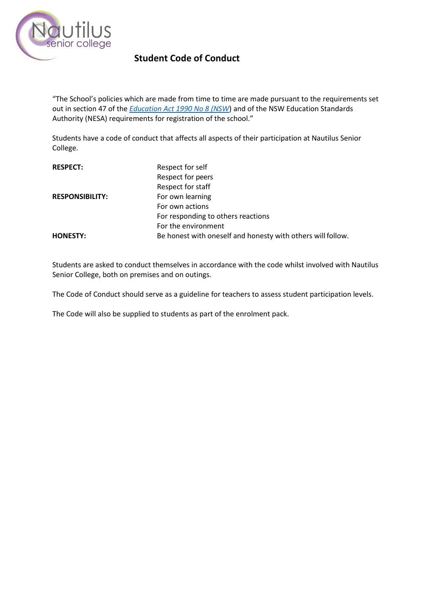

## **Student Code of Conduct**

"The School's policies which are made from time to time are made pursuant to the requirements set out in section 47 of the *[Education Act 1990 No 8 \(NSW](http://www.legislation.nsw.gov.au/)*) and of the NSW Education Standards Authority (NESA) requirements for registration of the school."

Students have a code of conduct that affects all aspects of their participation at Nautilus Senior College.

| <b>RESPECT:</b>        | Respect for self                                            |
|------------------------|-------------------------------------------------------------|
|                        | Respect for peers                                           |
|                        | Respect for staff                                           |
| <b>RESPONSIBILITY:</b> | For own learning                                            |
|                        | For own actions                                             |
|                        | For responding to others reactions                          |
|                        | For the environment                                         |
| <b>HONESTY:</b>        | Be honest with oneself and honesty with others will follow. |

Students are asked to conduct themselves in accordance with the code whilst involved with Nautilus Senior College, both on premises and on outings.

The Code of Conduct should serve as a guideline for teachers to assess student participation levels.

The Code will also be supplied to students as part of the enrolment pack.